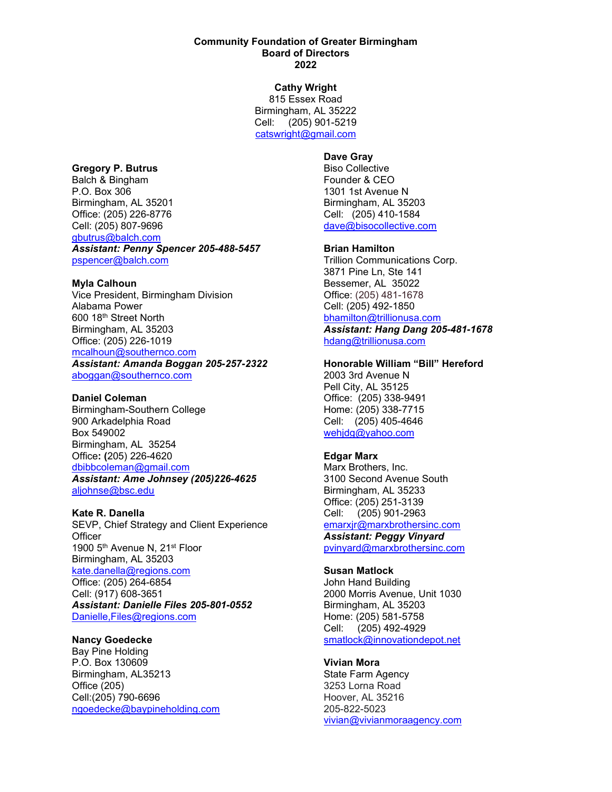#### **Community Foundation of Greater Birmingham Board of Directors 2022**

**Cathy Wright** 815 Essex Road Birmingham, AL 35222 Cell: (205) 901-5219 [catswright@gmail.com](mailto:catswright@gmail.com)

## **Gregory P. Butrus**

Balch & Bingham P.O. Box 306 Birmingham, AL 35201 Office: (205) 226-8776 Cell: (205) 807-9696 [gbutrus@balch.com](mailto:gbutrus@balch.com) *Assistant: Penny Spencer 205-488-5457* [pspencer@balch.com](mailto:pspencer@balch.com)

#### **Myla Calhoun**

Vice President, Birmingham Division Alabama Power 600 18th Street North Birmingham, AL 35203 Office: (205) 226-1019 [mcalhoun@southernco.com](mailto:mcalhoun@southernco.com)

*Assistant: Amanda Boggan 205-257-2322* [aboggan@southernco.com](mailto:aboggan@southernco.com)

#### **Daniel Coleman**

Birmingham-Southern College 900 Arkadelphia Road Box 549002 Birmingham, AL 35254 Office**: (**205) 226-4620 [dbibbcoleman@gmail.com](mailto:dbibbcoleman@gmail.com) *Assistant: Ame Johnsey (205)226-4625* [aljohnse@bsc.edu](mailto:aljohnse@bsc.edu)

#### **Kate R. Danella**

SEVP, Chief Strategy and Client Experience **Officer** 1900 5<sup>th</sup> Avenue N, 21<sup>st</sup> Floor Birmingham, AL 35203 [kate.danella@regions.com](mailto:kate.danella@regions.com) Office: (205) 264-6854 Cell: (917) 608-3651 *Assistant: Danielle Files 205-801-0552* [Danielle,Files@regions.com](mailto:dfiles@regions.com)

# **Nancy Goedecke**

Bay Pine Holding P.O. Box 130609 Birmingham, AL35213 Office (205) Cell:(205) 790-6696 [ngoedecke@baypineholding.com](mailto:ngoedecke@baypineholding.com)

# **Dave Gray**

Biso Collective Founder & CEO 1301 1st Avenue N Birmingham, AL 35203 Cell: (205) 410-1584 [dave@bisocollective.com](mailto:dave@bisocollective.com)

## **Brian Hamilton**

Trillion Communications Corp. 3871 Pine Ln, Ste 141 Bessemer, AL 35022 Office: (205) 481-1678 Cell: (205) 492-1850 [bhamilton@trillionusa.com](mailto:bhamilton@trillionusa.com)

*Assistant: Hang Dang 205-481-1678* [hdang@trillionusa.com](mailto:hdang@trillionusa.com)

#### **Honorable William "Bill" Hereford**

2003 3rd Avenue N Pell City, AL 35125 Office: (205) 338-9491 Home: (205) 338-7715 Cell: (205) 405-4646 [wehjdg@yahoo.com](mailto:wehjdg@yahoo.com)

## **Edgar Marx**

Marx Brothers, Inc. 3100 Second Avenue South Birmingham, AL 35233 Office: (205) 251-3139 Cell: (205) 901-2963 [emarxjr@marxbrothersinc.com](mailto:emarxjr@marxbrothersinc.com)

*Assistant: Peggy Vinyard* [pvinyard@marxbrothersinc.com](mailto:pvinyard@marxbrothersinc.com)

## **Susan Matlock**

John Hand Building 2000 Morris Avenue, Unit 1030 Birmingham, AL 35203 Home: (205) 581-5758 Cell: (205) 492-4929 [smatlock@innovationdepot.net](mailto:smatlock@innovationdepot.net)

# **Vivian Mora**

State Farm Agency 3253 Lorna Road Hoover, AL 35216 205-822-5023 [vivian@vivianmoraagency.com](mailto:vivian@vivianmoraagency.com)